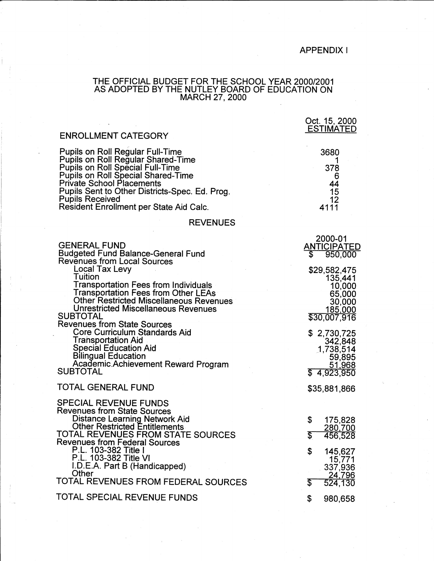## APPENDIX I

Oct. 15, 2000

## THE OFFICIAL BUDGET FOR THE SCHOOL YEAR 2000/2001 AS ADOPTED BY THE NUTLEY BOARD OF EDUCATION ON MARCH 27, 2000

| <b>ENROLLMENT CATEGORY</b>                                                                                                                                                                                                                                                                                                | <b>ESTIMATED</b>                                                                 |
|---------------------------------------------------------------------------------------------------------------------------------------------------------------------------------------------------------------------------------------------------------------------------------------------------------------------------|----------------------------------------------------------------------------------|
| <b>Pupils on Roll Regular Full-Time</b><br><b>Pupils on Roll Regular Shared-Time</b><br>Pupils on Roll Special Full-Time<br>Pupils on Roll Special Shared-Time<br><b>Private School Placements</b><br>Pupils Sent to Other Districts-Spec. Ed. Prog.<br><b>Pupils Received</b><br>Resident Enrollment per State Aid Calc. | 3680<br>378<br>6<br>44<br>15<br>12<br>4111                                       |
| <b>REVENUES</b>                                                                                                                                                                                                                                                                                                           |                                                                                  |
| <b>GENERAL FUND</b><br><b>Budgeted Fund Balance-General Fund</b><br><b>Revenues from Local Sources</b>                                                                                                                                                                                                                    | 2000-01<br><u>ANTICIPATED</u><br>\$<br>950,000                                   |
| Local Tax Levy<br>Tuition<br><b>Transportation Fees from Individuals</b><br>Transportation Fees from Other LEAs<br><b>Other Restricted Miscellaneous Revenues</b><br>Unrestricted Miscellaneous Revenues<br><b>SUBTOTAL</b><br><b>Revenues from State Sources</b>                                                         | \$29,582,475<br>135,441<br>10,000<br>65,000<br>30,000<br>185,000<br>\$30,007,916 |
| Core Curriculum Standards Aid<br>Transportation Aid<br>Special Education Aid<br><b>Bilingual Education</b><br>Academic Achievement Reward Program<br><b>SUBTOTAL</b>                                                                                                                                                      | \$2,730,725<br>342,848<br>1,738,514<br>59,895<br><u>51,968</u><br>\$4,923,950    |
| TOTAL GENERAL FUND                                                                                                                                                                                                                                                                                                        | \$35,881,866                                                                     |
| <b>SPECIAL REVENUE FUNDS</b><br><b>Revenues from State Sources</b><br>Distance Learning Network Aid<br><b>Other Restricted Entitlements</b><br>TOTAL REVENUES FROM STATE SOURCES<br><b>Revenues from Federal Sources</b><br>P.L. 103-382 Title I<br>P.L. 103-382 Title VI<br>I.D.E.A. Part B (Handicapped)<br>Other       | \$<br>175,828<br>280,700<br>S<br>456,528<br>\$<br>145,627<br>15,771<br>337,936   |
| TOTAL REVENUES FROM FEDERAL SOURCES                                                                                                                                                                                                                                                                                       | <u>24,796</u><br>\$<br>524,130                                                   |
| TOTAL SPECIAL REVENUE FUNDS                                                                                                                                                                                                                                                                                               | \$<br>980,658                                                                    |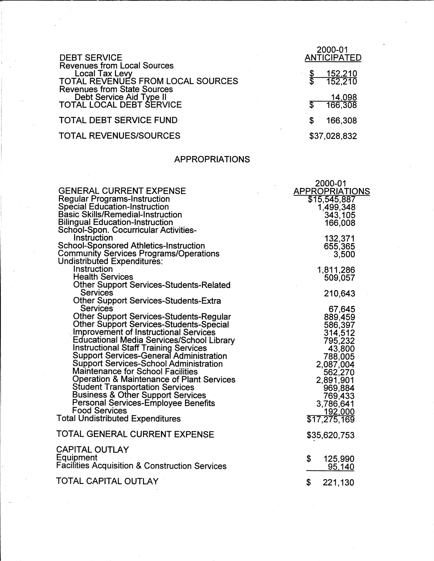| <b>DEBT SERVICE</b>                                                                                                                    |   | 2000-01<br><b>ANTICIPATED</b> |
|----------------------------------------------------------------------------------------------------------------------------------------|---|-------------------------------|
| <b>Revenues from Local Sources</b><br><b>Local Tax Levy</b><br>TOTAL REVENUES FROM LOCAL SOURCES<br><b>Revenues from State Sources</b> |   | <u>152,210</u><br>152,210     |
| Debt Service Aid Type II<br>TOTAL LOCAL DEBT SERVICE                                                                                   |   | 14,098<br>166,308             |
| <b>TOTAL DEBT SERVICE FUND</b>                                                                                                         | S | 166,308                       |
| <b>TOTAL REVENUES/SOURCES</b>                                                                                                          |   | \$37,028,832                  |

## APPROPRIATIONS

|                                                                                         | 2000-01               |
|-----------------------------------------------------------------------------------------|-----------------------|
| <b>GENERAL CURRENT EXPENSE</b>                                                          | <b>APPROPRIATIONS</b> |
| <b>Regular Programs-Instruction</b>                                                     | \$15,545,887          |
| <b>Special Education-Instruction</b>                                                    | 1,499,348             |
| <b>Basic Skills/Remedial-Instruction</b>                                                | 343,105               |
| <b>Bilingual Education-Instruction</b>                                                  | 166,008               |
| School-Spon. Cocurricular Activities-<br>Instruction                                    |                       |
| <b>School-Sponsored Athletics-Instruction</b>                                           | 132,371<br>655,365    |
| <b>Community Services Programs/Operations</b>                                           | 3,500                 |
| Undistributed Expenditures:                                                             |                       |
| Instruction                                                                             | 1,811,286             |
| <b>Health Services</b>                                                                  | 509,057               |
| <b>Other Support Services-Students-Related</b>                                          |                       |
| <b>Services</b>                                                                         | 210,643               |
| <b>Other Support Services-Students-Extra</b>                                            |                       |
| Services                                                                                | 67,645                |
| <b>Other Support Services-Students-Regular</b>                                          | 889,459               |
| <b>Other Support Services-Students-Special</b>                                          | 586,397               |
| <b>Improvement of Instructional Services</b>                                            | 314,512               |
| Educational Media Services/School Library                                               | 795,232               |
| Instructional Staff Training Services<br><b>Support Services-General Administration</b> | 43,800                |
| <b>Support Services-School Administration</b>                                           | 788,005               |
| <b>Maintenance for School Facilities</b>                                                | 2,087,004<br>562,270  |
| Operation & Maintenance of Plant Services                                               | 2,891,901             |
| <b>Student Transportation Services</b>                                                  | 969,884               |
| <b>Business &amp; Other Support Services</b>                                            | 769,433               |
| Personal Services-Employee Benefits                                                     | 3,786,641             |
| <b>Food Services</b>                                                                    | 192,000               |
| <b>Total Undistributed Expenditures</b>                                                 | \$17,275,169          |
|                                                                                         |                       |
| TOTAL GENERAL CURRENT EXPENSE                                                           | \$35,620,753          |
| <b>CAPITAL OUTLAY</b>                                                                   |                       |
| Equipment                                                                               | \$<br>125,990         |
| <b>Facilities Acquisition &amp; Construction Services</b>                               | 95,140                |
|                                                                                         |                       |
| TOTAL CAPITAL OUTLAY                                                                    | \$<br>221,130         |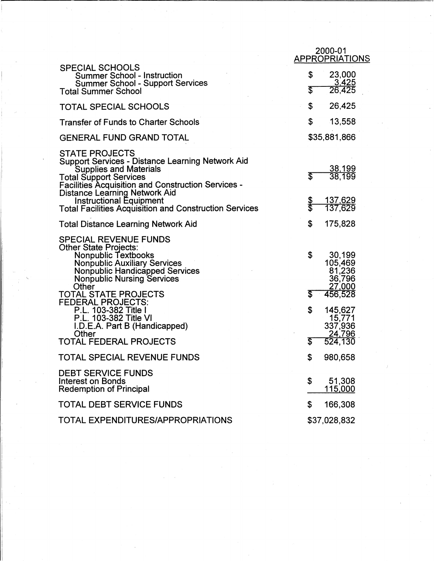|                                                                                                                                                                                                                                                                                                                                                     |              | 2000-01<br>APPROPRIATIONS                       |
|-----------------------------------------------------------------------------------------------------------------------------------------------------------------------------------------------------------------------------------------------------------------------------------------------------------------------------------------------------|--------------|-------------------------------------------------|
| <b>SPECIAL SCHOOLS</b><br><b>Summer School - Instruction</b><br><b>Summer School - Support Services</b><br><b>Total Summer School</b>                                                                                                                                                                                                               | \$<br>\$     | 23,000<br><u>3,425</u><br>26,425                |
| <b>TOTAL SPECIAL SCHOOLS</b>                                                                                                                                                                                                                                                                                                                        | \$           | 26,425                                          |
| <b>Transfer of Funds to Charter Schools</b>                                                                                                                                                                                                                                                                                                         | \$           | 13,558                                          |
| <b>GENERAL FUND GRAND TOTAL</b>                                                                                                                                                                                                                                                                                                                     |              | \$35,881,866                                    |
| <b>STATE PROJECTS</b><br><b>Support Services - Distance Learning Network Aid</b><br><b>Supplies and Materials</b><br><b>Total Support Services</b><br><b>Facilities Acquisition and Construction Services -</b><br><b>Distance Learning Network Aid</b><br>Instructional Equipment<br><b>Total Facilities Acquisition and Construction Services</b> | T<br>န္<br>န | 38,199<br>38,199<br><u>137,629</u><br>137,629   |
| <b>Total Distance Learning Network Aid</b>                                                                                                                                                                                                                                                                                                          | \$           | 175,828                                         |
| <b>SPECIAL REVENUE FUNDS</b><br><b>Other State Projects:</b><br><b>Nonpublic Textbooks</b><br><b>Nonpublic Auxiliary Services</b><br>Nonpublic Handicapped Services<br><b>Nonpublic Nursing Services</b><br>Other                                                                                                                                   | \$           | 30,199<br>105,469<br>81,236<br>36,796<br>27,000 |
| TOTAL STATE PROJECTS<br><b>FEDERAL PROJECTS:</b>                                                                                                                                                                                                                                                                                                    | \$           | 456,528                                         |
| P.L. 103-382 Title I<br>P.L. 103-382 Title VI<br>I.D.E.A. Part B (Handicapped)<br>Other                                                                                                                                                                                                                                                             | \$           | 145,627<br>15,771<br>337,936<br>24,796          |
| <b>TOTAL FEDERAL PROJECTS</b>                                                                                                                                                                                                                                                                                                                       | \$           | 524,130                                         |
| TOTAL SPECIAL REVENUE FUNDS                                                                                                                                                                                                                                                                                                                         | \$           | 980,658                                         |
| <b>DEBT SERVICE FUNDS</b><br><b>Interest on Bonds</b><br><b>Redemption of Principal</b>                                                                                                                                                                                                                                                             | \$           | 51,308<br>115,000                               |
| <b>TOTAL DEBT SERVICE FUNDS</b>                                                                                                                                                                                                                                                                                                                     | \$           | 166,308                                         |
| <b>TOTAL EXPENDITURES/APPROPRIATIONS</b>                                                                                                                                                                                                                                                                                                            |              | \$37,028,832                                    |

I.

'-